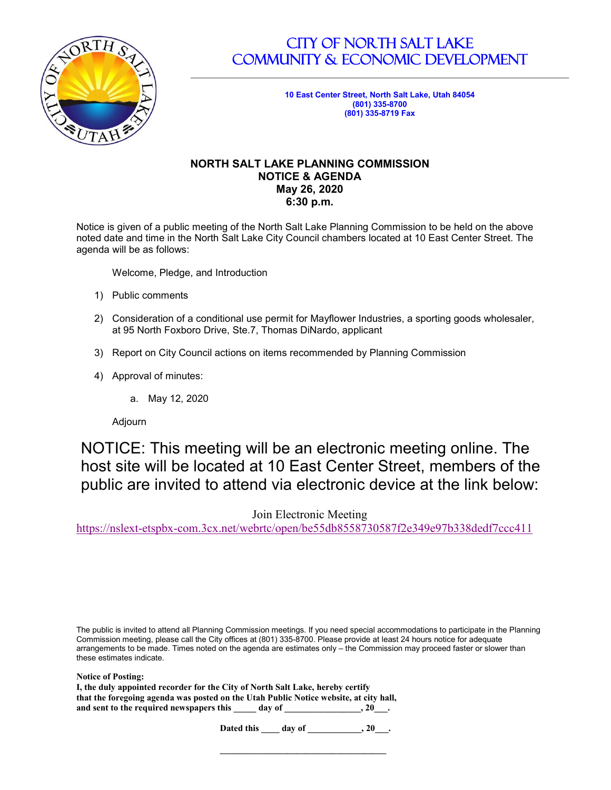

# CITY OF NORTH SALT LAKE COMMUNITY & ECONOMIC DEVELOPMENT

**10 East Center Street, North Salt Lake, Utah 84054 (801) 335-8700 (801) 335-8719 Fax**

### **NORTH SALT LAKE PLANNING COMMISSION NOTICE & AGENDA May 26, 2020 6:30 p.m.**

Notice is given of a public meeting of the North Salt Lake Planning Commission to be held on the above noted date and time in the North Salt Lake City Council chambers located at 10 East Center Street. The agenda will be as follows:

Welcome, Pledge, and Introduction

- 1) Public comments
- 2) Consideration of a conditional use permit for Mayflower Industries, a sporting goods wholesaler, at 95 North Foxboro Drive, Ste.7, Thomas DiNardo, applicant
- 3) Report on City Council actions on items recommended by Planning Commission
- 4) Approval of minutes:
	- a. May 12, 2020

Adjourn

NOTICE: This meeting will be an electronic meeting online. The host site will be located at 10 East Center Street, members of the public are invited to attend via electronic device at the link below:

Join Electronic Meeting

<https://nslext-etspbx-com.3cx.net/webrtc/open/be55db8558730587f2e349e97b338dedf7ccc411>

The public is invited to attend all Planning Commission meetings. If you need special accommodations to participate in the Planning Commission meeting, please call the City offices at (801) 335-8700. Please provide at least 24 hours notice for adequate arrangements to be made. Times noted on the agenda are estimates only – the Commission may proceed faster or slower than these estimates indicate.

| <b>Notice of Posting:</b>                                                             |          |  |
|---------------------------------------------------------------------------------------|----------|--|
| I, the duly appointed recorder for the City of North Salt Lake, hereby certify        |          |  |
| that the foregoing agenda was posted on the Utah Public Notice website, at city hall, |          |  |
| and sent to the required newspapers this<br>day of                                    | $, 20$ . |  |

**Dated this \_\_\_\_ day of \_\_\_\_\_\_\_\_\_\_\_\_, 20\_\_\_.** 

**\_\_\_\_\_\_\_\_\_\_\_\_\_\_\_\_\_\_\_\_\_\_\_\_\_\_\_\_\_\_\_\_\_\_\_\_\_**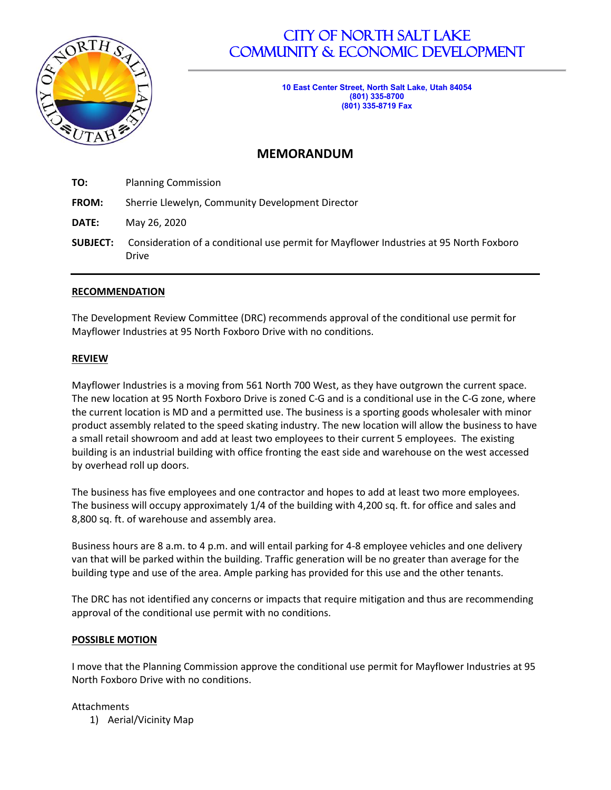

# CITY OF NORTH SALT LAKE COMMUNITY & ECONOMIC DEVELOPMENT

**10 East Center Street, North Salt Lake, Utah 84054 (801) 335-8700 (801) 335-8719 Fax**

## **MEMORANDUM**

| TO:             | <b>Planning Commission</b>                                                                             |  |  |
|-----------------|--------------------------------------------------------------------------------------------------------|--|--|
| FROM:           | Sherrie Llewelyn, Community Development Director                                                       |  |  |
| DATE:           | May 26, 2020                                                                                           |  |  |
| <b>SUBJECT:</b> | Consideration of a conditional use permit for Mayflower Industries at 95 North Foxboro<br><b>Drive</b> |  |  |

### **RECOMMENDATION**

The Development Review Committee (DRC) recommends approval of the conditional use permit for Mayflower Industries at 95 North Foxboro Drive with no conditions.

### **REVIEW**

Mayflower Industries is a moving from 561 North 700 West, as they have outgrown the current space. The new location at 95 North Foxboro Drive is zoned C-G and is a conditional use in the C-G zone, where the current location is MD and a permitted use. The business is a sporting goods wholesaler with minor product assembly related to the speed skating industry. The new location will allow the business to have a small retail showroom and add at least two employees to their current 5 employees. The existing building is an industrial building with office fronting the east side and warehouse on the west accessed by overhead roll up doors.

The business has five employees and one contractor and hopes to add at least two more employees. The business will occupy approximately 1/4 of the building with 4,200 sq. ft. for office and sales and 8,800 sq. ft. of warehouse and assembly area.

Business hours are 8 a.m. to 4 p.m. and will entail parking for 4-8 employee vehicles and one delivery van that will be parked within the building. Traffic generation will be no greater than average for the building type and use of the area. Ample parking has provided for this use and the other tenants.

The DRC has not identified any concerns or impacts that require mitigation and thus are recommending approval of the conditional use permit with no conditions.

#### **POSSIBLE MOTION**

I move that the Planning Commission approve the conditional use permit for Mayflower Industries at 95 North Foxboro Drive with no conditions.

#### Attachments

1) Aerial/Vicinity Map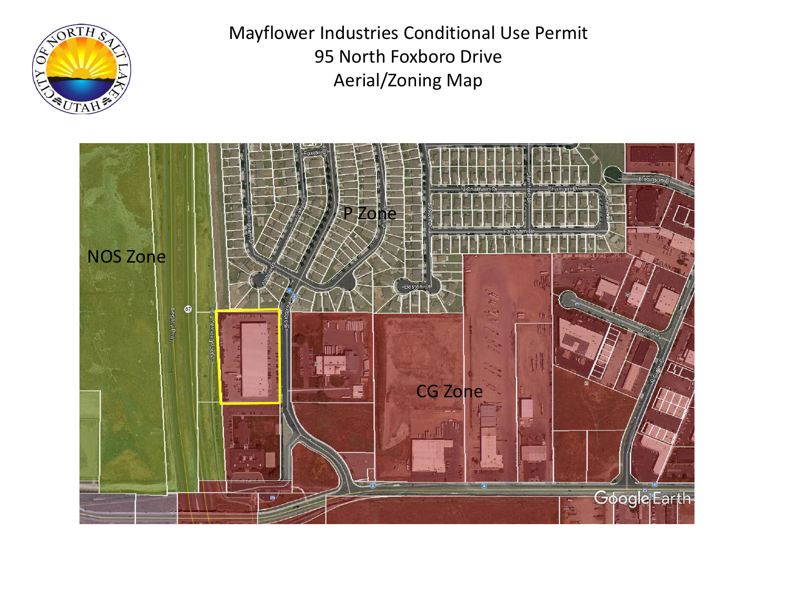

Mayflower Industries Conditional Use Permit 95 North Foxboro Drive Aerial/Zoning Map

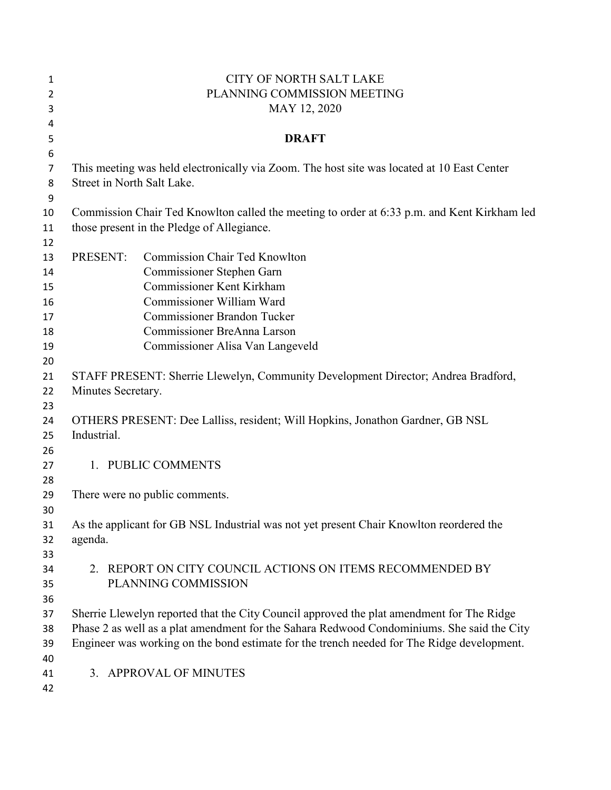| 1              | <b>CITY OF NORTH SALT LAKE</b>                                                              |                                                                                            |  |  |  |
|----------------|---------------------------------------------------------------------------------------------|--------------------------------------------------------------------------------------------|--|--|--|
| $\overline{2}$ | PLANNING COMMISSION MEETING                                                                 |                                                                                            |  |  |  |
| 3              | MAY 12, 2020                                                                                |                                                                                            |  |  |  |
| 4              |                                                                                             |                                                                                            |  |  |  |
| 5              | <b>DRAFT</b>                                                                                |                                                                                            |  |  |  |
| 6              |                                                                                             |                                                                                            |  |  |  |
| $\overline{7}$ | This meeting was held electronically via Zoom. The host site was located at 10 East Center  |                                                                                            |  |  |  |
| 8              | Street in North Salt Lake.                                                                  |                                                                                            |  |  |  |
| 9              |                                                                                             |                                                                                            |  |  |  |
| 10             | Commission Chair Ted Knowlton called the meeting to order at 6:33 p.m. and Kent Kirkham led |                                                                                            |  |  |  |
| 11             |                                                                                             | those present in the Pledge of Allegiance.                                                 |  |  |  |
| 12             |                                                                                             |                                                                                            |  |  |  |
| 13             | PRESENT:                                                                                    | <b>Commission Chair Ted Knowlton</b>                                                       |  |  |  |
| 14             |                                                                                             | Commissioner Stephen Garn                                                                  |  |  |  |
| 15             |                                                                                             | <b>Commissioner Kent Kirkham</b>                                                           |  |  |  |
| 16             |                                                                                             | Commissioner William Ward                                                                  |  |  |  |
| 17             |                                                                                             | <b>Commissioner Brandon Tucker</b>                                                         |  |  |  |
| 18             |                                                                                             | Commissioner BreAnna Larson                                                                |  |  |  |
| 19             |                                                                                             | Commissioner Alisa Van Langeveld                                                           |  |  |  |
| 20             |                                                                                             |                                                                                            |  |  |  |
| 21             | STAFF PRESENT: Sherrie Llewelyn, Community Development Director; Andrea Bradford,           |                                                                                            |  |  |  |
| 22             | Minutes Secretary.                                                                          |                                                                                            |  |  |  |
| 23             |                                                                                             |                                                                                            |  |  |  |
| 24             | OTHERS PRESENT: Dee Lalliss, resident; Will Hopkins, Jonathon Gardner, GB NSL               |                                                                                            |  |  |  |
| 25             | Industrial.                                                                                 |                                                                                            |  |  |  |
| 26             |                                                                                             |                                                                                            |  |  |  |
| 27             |                                                                                             | 1. PUBLIC COMMENTS                                                                         |  |  |  |
| 28             |                                                                                             |                                                                                            |  |  |  |
| 29             |                                                                                             | There were no public comments.                                                             |  |  |  |
| 30             |                                                                                             |                                                                                            |  |  |  |
| 31             |                                                                                             | As the applicant for GB NSL Industrial was not yet present Chair Knowlton reordered the    |  |  |  |
| 32             | agenda.                                                                                     |                                                                                            |  |  |  |
| 33             |                                                                                             |                                                                                            |  |  |  |
| 34             |                                                                                             | 2. REPORT ON CITY COUNCIL ACTIONS ON ITEMS RECOMMENDED BY                                  |  |  |  |
| 35             |                                                                                             | PLANNING COMMISSION                                                                        |  |  |  |
| 36             |                                                                                             |                                                                                            |  |  |  |
| 37             |                                                                                             | Sherrie Llewelyn reported that the City Council approved the plat amendment for The Ridge  |  |  |  |
| 38             | Phase 2 as well as a plat amendment for the Sahara Redwood Condominiums. She said the City  |                                                                                            |  |  |  |
| 39             |                                                                                             | Engineer was working on the bond estimate for the trench needed for The Ridge development. |  |  |  |
| 40             |                                                                                             |                                                                                            |  |  |  |
| 41             |                                                                                             | 3. APPROVAL OF MINUTES                                                                     |  |  |  |
| 42             |                                                                                             |                                                                                            |  |  |  |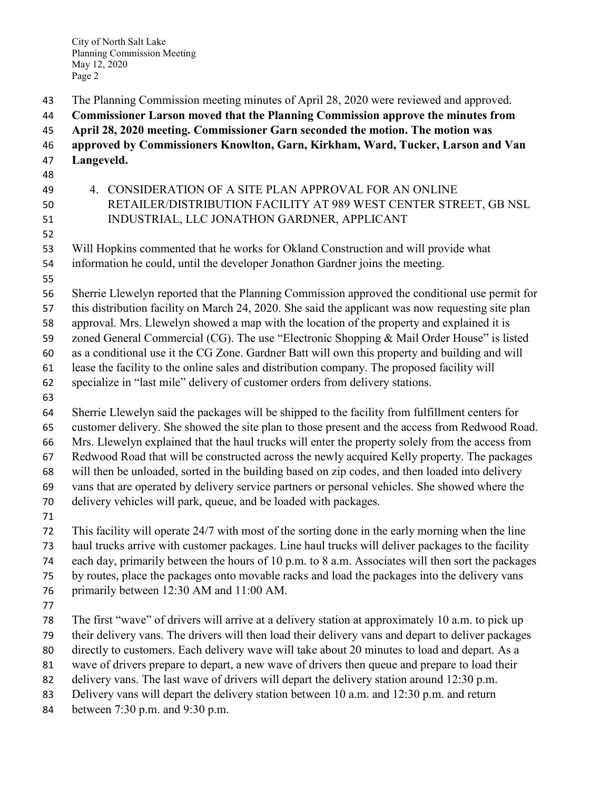- The Planning Commission meeting minutes of April 28, 2020 were reviewed and approved.
- **Commissioner Larson moved that the Planning Commission approve the minutes from**
- **April 28, 2020 meeting. Commissioner Garn seconded the motion. The motion was**
- **approved by Commissioners Knowlton, Garn, Kirkham, Ward, Tucker, Larson and Van Langeveld.**
- 
- 
- 
- 4. CONSIDERATION OF A SITE PLAN APPROVAL FOR AN ONLINE RETAILER/DISTRIBUTION FACILITY AT 989 WEST CENTER STREET, GB NSL INDUSTRIAL, LLC JONATHON GARDNER, APPLICANT
- 
- Will Hopkins commented that he works for Okland Construction and will provide what
- information he could, until the developer Jonathon Gardner joins the meeting.
- 
- Sherrie Llewelyn reported that the Planning Commission approved the conditional use permit for
- this distribution facility on March 24, 2020. She said the applicant was now requesting site plan
- approval. Mrs. Llewelyn showed a map with the location of the property and explained it is
- 59 zoned General Commercial (CG). The use "Electronic Shopping & Mail Order House" is listed
- as a conditional use it the CG Zone. Gardner Batt will own this property and building and will
- lease the facility to the online sales and distribution company. The proposed facility will
- specialize in "last mile" delivery of customer orders from delivery stations.
- 
- Sherrie Llewelyn said the packages will be shipped to the facility from fulfillment centers for customer delivery. She showed the site plan to those present and the access from Redwood Road. Mrs. Llewelyn explained that the haul trucks will enter the property solely from the access from Redwood Road that will be constructed across the newly acquired Kelly property. The packages will then be unloaded, sorted in the building based on zip codes, and then loaded into delivery vans that are operated by delivery service partners or personal vehicles. She showed where the
- delivery vehicles will park, queue, and be loaded with packages.
- 
- This facility will operate 24/7 with most of the sorting done in the early morning when the line haul trucks arrive with customer packages. Line haul trucks will deliver packages to the facility
- each day, primarily between the hours of 10 p.m. to 8 a.m. Associates will then sort the packages
- by routes, place the packages onto movable racks and load the packages into the delivery vans
- primarily between 12:30 AM and 11:00 AM.
- 
- The first "wave" of drivers will arrive at a delivery station at approximately 10 a.m. to pick up
- their delivery vans. The drivers will then load their delivery vans and depart to deliver packages
- directly to customers. Each delivery wave will take about 20 minutes to load and depart. As a
- wave of drivers prepare to depart, a new wave of drivers then queue and prepare to load their
- 82 delivery vans. The last wave of drivers will depart the delivery station around 12:30 p.m.
- Delivery vans will depart the delivery station between 10 a.m. and 12:30 p.m. and return
- between 7:30 p.m. and 9:30 p.m.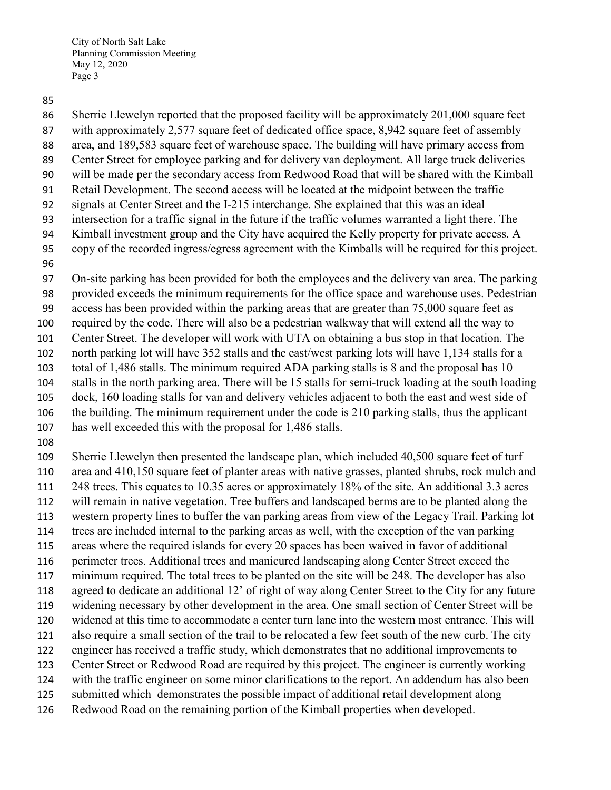Sherrie Llewelyn reported that the proposed facility will be approximately 201,000 square feet

with approximately 2,577 square feet of dedicated office space, 8,942 square feet of assembly

area, and 189,583 square feet of warehouse space. The building will have primary access from

- Center Street for employee parking and for delivery van deployment. All large truck deliveries will be made per the secondary access from Redwood Road that will be shared with the Kimball
- Retail Development. The second access will be located at the midpoint between the traffic
- signals at Center Street and the I-215 interchange. She explained that this was an ideal
- intersection for a traffic signal in the future if the traffic volumes warranted a light there. The
- Kimball investment group and the City have acquired the Kelly property for private access. A
- copy of the recorded ingress/egress agreement with the Kimballs will be required for this project.
- 

On-site parking has been provided for both the employees and the delivery van area. The parking

provided exceeds the minimum requirements for the office space and warehouse uses. Pedestrian

access has been provided within the parking areas that are greater than 75,000 square feet as

required by the code. There will also be a pedestrian walkway that will extend all the way to

Center Street. The developer will work with UTA on obtaining a bus stop in that location. The

 north parking lot will have 352 stalls and the east/west parking lots will have 1,134 stalls for a total of 1,486 stalls. The minimum required ADA parking stalls is 8 and the proposal has 10

stalls in the north parking area. There will be 15 stalls for semi-truck loading at the south loading

dock, 160 loading stalls for van and delivery vehicles adjacent to both the east and west side of

the building. The minimum requirement under the code is 210 parking stalls, thus the applicant

- has well exceeded this with the proposal for 1,486 stalls.
- 

 Sherrie Llewelyn then presented the landscape plan, which included 40,500 square feet of turf area and 410,150 square feet of planter areas with native grasses, planted shrubs, rock mulch and

248 trees. This equates to 10.35 acres or approximately 18% of the site. An additional 3.3 acres

will remain in native vegetation. Tree buffers and landscaped berms are to be planted along the

western property lines to buffer the van parking areas from view of the Legacy Trail. Parking lot

 trees are included internal to the parking areas as well, with the exception of the van parking areas where the required islands for every 20 spaces has been waived in favor of additional

perimeter trees. Additional trees and manicured landscaping along Center Street exceed the

minimum required. The total trees to be planted on the site will be 248. The developer has also

agreed to dedicate an additional 12' of right of way along Center Street to the City for any future

widening necessary by other development in the area. One small section of Center Street will be

- widened at this time to accommodate a center turn lane into the western most entrance. This will
- also require a small section of the trail to be relocated a few feet south of the new curb. The city

 engineer has received a traffic study, which demonstrates that no additional improvements to Center Street or Redwood Road are required by this project. The engineer is currently working

with the traffic engineer on some minor clarifications to the report. An addendum has also been

- submitted which demonstrates the possible impact of additional retail development along
- Redwood Road on the remaining portion of the Kimball properties when developed.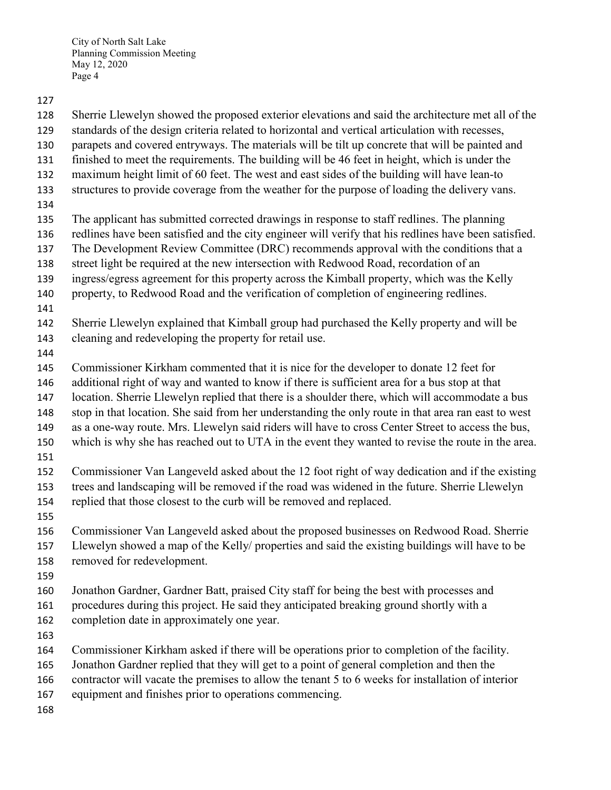- Sherrie Llewelyn showed the proposed exterior elevations and said the architecture met all of the
- standards of the design criteria related to horizontal and vertical articulation with recesses,
- parapets and covered entryways. The materials will be tilt up concrete that will be painted and
- finished to meet the requirements. The building will be 46 feet in height, which is under the
- maximum height limit of 60 feet. The west and east sides of the building will have lean-to
- structures to provide coverage from the weather for the purpose of loading the delivery vans.
- 
- The applicant has submitted corrected drawings in response to staff redlines. The planning
- redlines have been satisfied and the city engineer will verify that his redlines have been satisfied.
- The Development Review Committee (DRC) recommends approval with the conditions that a
- street light be required at the new intersection with Redwood Road, recordation of an
- ingress/egress agreement for this property across the Kimball property, which was the Kelly
- property, to Redwood Road and the verification of completion of engineering redlines.
- 
- Sherrie Llewelyn explained that Kimball group had purchased the Kelly property and will be
- cleaning and redeveloping the property for retail use.
- 
- Commissioner Kirkham commented that it is nice for the developer to donate 12 feet for
- additional right of way and wanted to know if there is sufficient area for a bus stop at that
- location. Sherrie Llewelyn replied that there is a shoulder there, which will accommodate a bus
- stop in that location. She said from her understanding the only route in that area ran east to west
- as a one-way route. Mrs. Llewelyn said riders will have to cross Center Street to access the bus,
- which is why she has reached out to UTA in the event they wanted to revise the route in the area.
- 
- Commissioner Van Langeveld asked about the 12 foot right of way dedication and if the existing
- trees and landscaping will be removed if the road was widened in the future. Sherrie Llewelyn
- replied that those closest to the curb will be removed and replaced.
- 
- Commissioner Van Langeveld asked about the proposed businesses on Redwood Road. Sherrie
- Llewelyn showed a map of the Kelly/ properties and said the existing buildings will have to be
- removed for redevelopment.
- 
- Jonathon Gardner, Gardner Batt, praised City staff for being the best with processes and
- procedures during this project. He said they anticipated breaking ground shortly with a completion date in approximately one year.
- 
- Commissioner Kirkham asked if there will be operations prior to completion of the facility.
- Jonathon Gardner replied that they will get to a point of general completion and then the
- contractor will vacate the premises to allow the tenant 5 to 6 weeks for installation of interior
- equipment and finishes prior to operations commencing.
-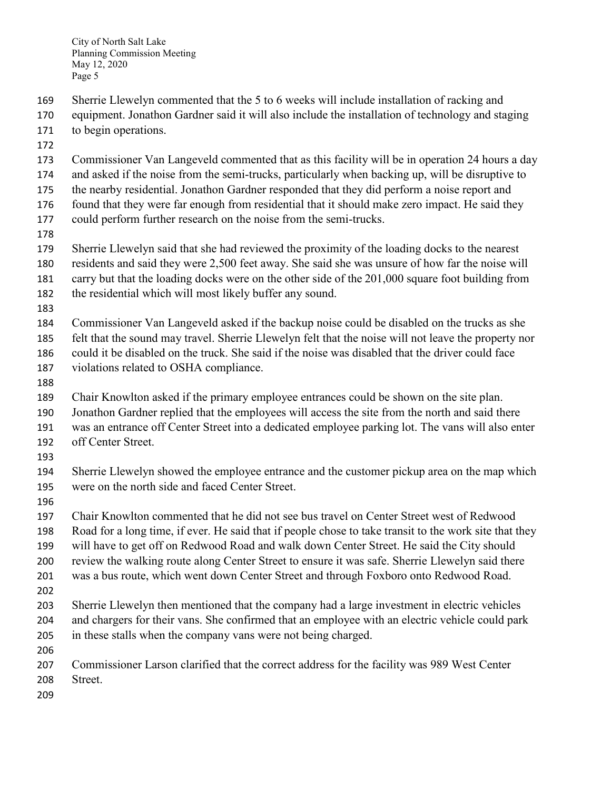- Sherrie Llewelyn commented that the 5 to 6 weeks will include installation of racking and
- equipment. Jonathon Gardner said it will also include the installation of technology and staging to begin operations.
- 
- Commissioner Van Langeveld commented that as this facility will be in operation 24 hours a day
- and asked if the noise from the semi-trucks, particularly when backing up, will be disruptive to
- the nearby residential. Jonathon Gardner responded that they did perform a noise report and
- found that they were far enough from residential that it should make zero impact. He said they
- could perform further research on the noise from the semi-trucks.
- 
- Sherrie Llewelyn said that she had reviewed the proximity of the loading docks to the nearest
- residents and said they were 2,500 feet away. She said she was unsure of how far the noise will
- carry but that the loading docks were on the other side of the 201,000 square foot building from
- the residential which will most likely buffer any sound.
- 
- Commissioner Van Langeveld asked if the backup noise could be disabled on the trucks as she
- felt that the sound may travel. Sherrie Llewelyn felt that the noise will not leave the property nor
- could it be disabled on the truck. She said if the noise was disabled that the driver could face
- violations related to OSHA compliance.
- 

Chair Knowlton asked if the primary employee entrances could be shown on the site plan.

- Jonathon Gardner replied that the employees will access the site from the north and said there
- was an entrance off Center Street into a dedicated employee parking lot. The vans will also enter
- off Center Street.
- 
- Sherrie Llewelyn showed the employee entrance and the customer pickup area on the map which were on the north side and faced Center Street.
- 
- Chair Knowlton commented that he did not see bus travel on Center Street west of Redwood Road for a long time, if ever. He said that if people chose to take transit to the work site that they will have to get off on Redwood Road and walk down Center Street. He said the City should review the walking route along Center Street to ensure it was safe. Sherrie Llewelyn said there was a bus route, which went down Center Street and through Foxboro onto Redwood Road.
- 
- Sherrie Llewelyn then mentioned that the company had a large investment in electric vehicles and chargers for their vans. She confirmed that an employee with an electric vehicle could park in these stalls when the company vans were not being charged.
- 
- Commissioner Larson clarified that the correct address for the facility was 989 West Center
- Street.
-